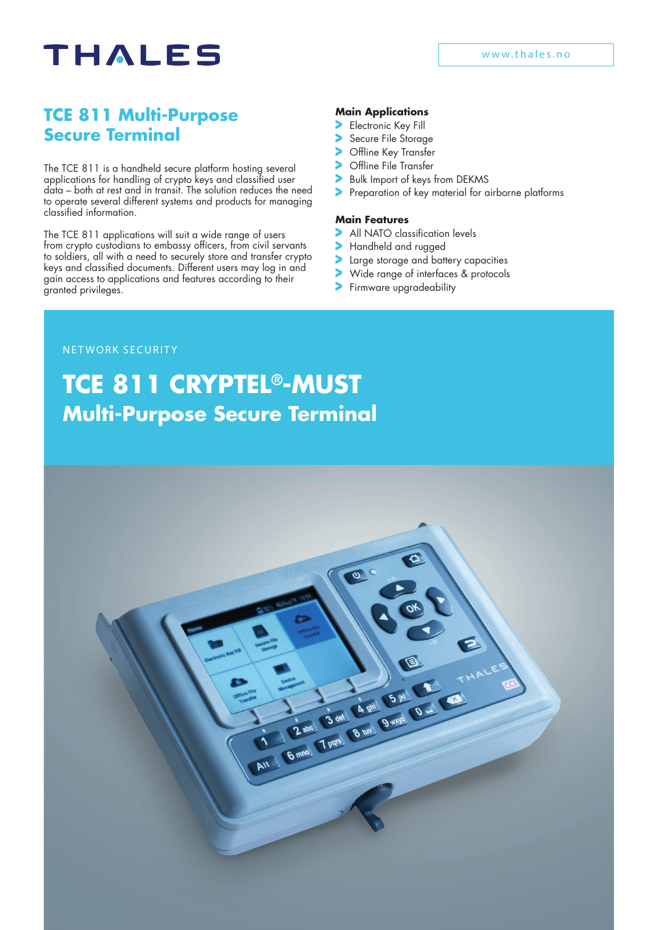# **THALES**

### **TCE 811 Multi-Purpose Secure Terminal**

The TCE 811 is a handheld secure platform hosting several applications for handling of crypto keys and classified user data – both at rest and in transit. The solution reduces the need to operate several different systems and products for managing classified information.

The TCE 811 applications will suit a wide range of users from crypto custodians to embassy officers, from civil servants to soldiers, all with a need to securely store and transfer crypto keys and classified documents. Different users may log in and gain access to applications and features according to their granted privileges.

#### **Main Applications**

- Electronic Key Fill
- Secure File Storage
- Offline Key Transfer
- Offline File Transfer
- Bulk Import of keys from DEKMS
- Preparation of key material for airborne platforms

#### **Main Features**

- All NATO classification levels
- Handheld and rugged
- Large storage and battery capacities
- Wide range of interfaces & protocols
- Firmware upgradeability

#### NETWORK SECURITY

## **Multi-Purpose Secure Terminal TCE 811 CRYPTEL®-MUST**